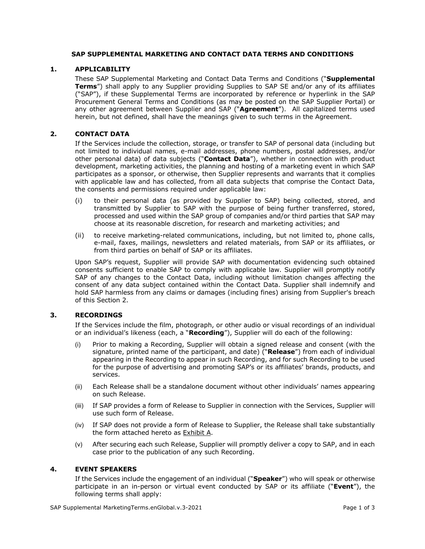# **SAP SUPPLEMENTAL MARKETING AND CONTACT DATA TERMS AND CONDITIONS**

### **1. APPLICABILITY**

These SAP Supplemental Marketing and Contact Data Terms and Conditions ("**Supplemental Terms**") shall apply to any Supplier providing Supplies to SAP SE and/or any of its affiliates ("SAP"), if these Supplemental Terms are incorporated by reference or hyperlink in the SAP Procurement General Terms and Conditions (as may be posted on the SAP Supplier Portal) or any other agreement between Supplier and SAP ("**Agreement**"). All capitalized terms used herein, but not defined, shall have the meanings given to such terms in the Agreement.

#### **2. CONTACT DATA**

If the Services include the collection, storage, or transfer to SAP of personal data (including but not limited to individual names, e-mail addresses, phone numbers, postal addresses, and/or other personal data) of data subjects ("**Contact Data**"), whether in connection with product development, marketing activities, the planning and hosting of a marketing event in which SAP participates as a sponsor, or otherwise, then Supplier represents and warrants that it complies with applicable law and has collected, from all data subjects that comprise the Contact Data, the consents and permissions required under applicable law:

- (i) to their personal data (as provided by Supplier to SAP) being collected, stored, and transmitted by Supplier to SAP with the purpose of being further transferred, stored, processed and used within the SAP group of companies and/or third parties that SAP may choose at its reasonable discretion, for research and marketing activities; and
- (ii) to receive marketing-related communications, including, but not limited to, phone calls, e-mail, faxes, mailings, newsletters and related materials, from SAP or its affiliates, or from third parties on behalf of SAP or its affiliates.

Upon SAP's request, Supplier will provide SAP with documentation evidencing such obtained consents sufficient to enable SAP to comply with applicable law. Supplier will promptly notify SAP of any changes to the Contact Data, including without limitation changes affecting the consent of any data subject contained within the Contact Data. Supplier shall indemnify and hold SAP harmless from any claims or damages (including fines) arising from Supplier's breach of this Section 2.

#### **3. RECORDINGS**

If the Services include the film, photograph, or other audio or visual recordings of an individual or an individual's likeness (each, a "**Recording**"), Supplier will do each of the following:

- (i) Prior to making a Recording, Supplier will obtain a signed release and consent (with the signature, printed name of the participant, and date) ("**Release**") from each of individual appearing in the Recording to appear in such Recording, and for such Recording to be used for the purpose of advertising and promoting SAP's or its affiliates' brands, products, and services.
- (ii) Each Release shall be a standalone document without other individuals' names appearing on such Release.
- (iii) If SAP provides a form of Release to Supplier in connection with the Services, Supplier will use such form of Release.
- (iv) If SAP does not provide a form of Release to Supplier, the Release shall take substantially the form attached hereto as Exhibit A.
- (v) After securing each such Release, Supplier will promptly deliver a copy to SAP, and in each case prior to the publication of any such Recording.

## **4. EVENT SPEAKERS**

If the Services include the engagement of an individual ("**Speaker**") who will speak or otherwise participate in an in-person or virtual event conducted by SAP or its affiliate ("**Event**"), the following terms shall apply: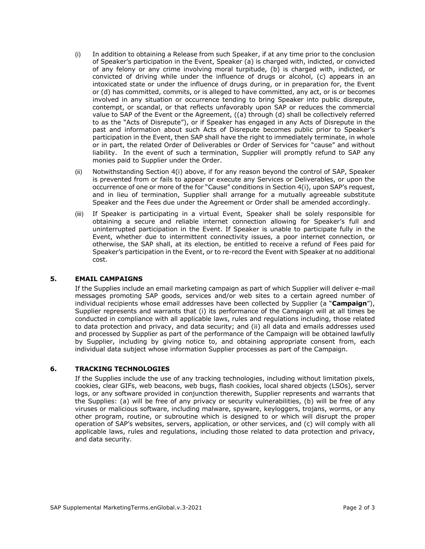- (i) In addition to obtaining a Release from such Speaker, if at any time prior to the conclusion of Speaker's participation in the Event, Speaker (a) is charged with, indicted, or convicted of any felony or any crime involving moral turpitude, (b) is charged with, indicted, or convicted of driving while under the influence of drugs or alcohol, (c) appears in an intoxicated state or under the influence of drugs during, or in preparation for, the Event or (d) has committed, commits, or is alleged to have committed, any act, or is or becomes involved in any situation or occurrence tending to bring Speaker into public disrepute, contempt, or scandal, or that reflects unfavorably upon SAP or reduces the commercial value to SAP of the Event or the Agreement, ((a) through (d) shall be collectively referred to as the "Acts of Disrepute"), or if Speaker has engaged in any Acts of Disrepute in the past and information about such Acts of Disrepute becomes public prior to Speaker's participation in the Event, then SAP shall have the right to immediately terminate, in whole or in part, the related Order of Deliverables or Order of Services for "cause" and without liability. In the event of such a termination, Supplier will promptly refund to SAP any monies paid to Supplier under the Order.
- (ii) Notwithstanding Section 4(i) above, if for any reason beyond the control of SAP, Speaker is prevented from or fails to appear or execute any Services or Deliverables, or upon the occurrence of one or more of the for "Cause" conditions in Section 4(i), upon SAP's request, and in lieu of termination, Supplier shall arrange for a mutually agreeable substitute Speaker and the Fees due under the Agreement or Order shall be amended accordingly.
- (iii) If Speaker is participating in a virtual Event, Speaker shall be solely responsible for obtaining a secure and reliable internet connection allowing for Speaker's full and uninterrupted participation in the Event. If Speaker is unable to participate fully in the Event, whether due to intermittent connectivity issues, a poor internet connection, or otherwise, the SAP shall, at its election, be entitled to receive a refund of Fees paid for Speaker's participation in the Event, or to re-record the Event with Speaker at no additional cost.

## **5. EMAIL CAMPAIGNS**

If the Supplies include an email marketing campaign as part of which Supplier will deliver e-mail messages promoting SAP goods, services and/or web sites to a certain agreed number of individual recipients whose email addresses have been collected by Supplier (a "**Campaign**"), Supplier represents and warrants that (i) its performance of the Campaign will at all times be conducted in compliance with all applicable laws, rules and regulations including, those related to data protection and privacy, and data security; and (ii) all data and emails addresses used and processed by Supplier as part of the performance of the Campaign will be obtained lawfully by Supplier, including by giving notice to, and obtaining appropriate consent from, each individual data subject whose information Supplier processes as part of the Campaign.

## **6. TRACKING TECHNOLOGIES**

If the Supplies include the use of any tracking technologies, including without limitation pixels, cookies, clear GIFs, web beacons, web bugs, flash cookies, local shared objects (LSOs), server logs, or any software provided in conjunction therewith, Supplier represents and warrants that the Supplies: (a) will be free of any privacy or security vulnerabilities, (b) will be free of any viruses or malicious software, including malware, spyware, keyloggers, trojans, worms, or any other program, routine, or subroutine which is designed to or which will disrupt the proper operation of SAP's websites, servers, application, or other services, and (c) will comply with all applicable laws, rules and regulations, including those related to data protection and privacy, and data security.